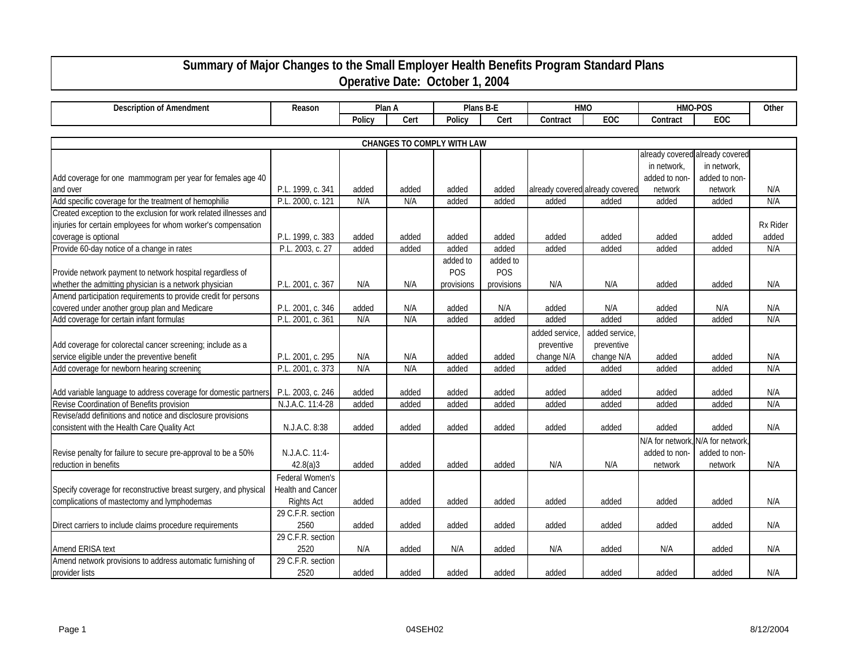## **Summary of Major Changes to the Small Employer Health Benefits Program Standard Plans Operative Date: October 1, 2004**

| <b>Description of Amendment</b>                                   | Reason            |        | Plan A |            | Plans B-E  |               | <b>HMO</b>                      |                                  | HMO-POS                         | Other           |  |  |
|-------------------------------------------------------------------|-------------------|--------|--------|------------|------------|---------------|---------------------------------|----------------------------------|---------------------------------|-----------------|--|--|
|                                                                   |                   | Policy | Cert   | Policy     | Cert       | Contract      | EOC                             | Contract                         | EOC                             |                 |  |  |
|                                                                   |                   |        |        |            |            |               |                                 |                                  |                                 |                 |  |  |
| CHANGES TO COMPLY WITH LAW                                        |                   |        |        |            |            |               |                                 |                                  |                                 |                 |  |  |
|                                                                   |                   |        |        |            |            |               |                                 |                                  | already covered already covered |                 |  |  |
|                                                                   |                   |        |        |            |            |               |                                 | in network,                      | in network,                     |                 |  |  |
| Add coverage for one mammogram per year for females age 40        |                   |        |        |            |            |               |                                 | added to non-                    | added to non-                   |                 |  |  |
| and over                                                          | P.L. 1999, c. 341 | added  | added  | added      | added      |               | already covered already covered | network                          | network                         | N/A             |  |  |
| Add specific coverage for the treatment of hemophilia             | P.L. 2000, c. 121 | N/A    | N/A    | added      | added      | added         | added                           | added                            | added                           | N/A             |  |  |
| Created exception to the exclusion for work related illnesses and |                   |        |        |            |            |               |                                 |                                  |                                 |                 |  |  |
| injuries for certain employees for whom worker's compensation     |                   |        |        |            |            |               |                                 |                                  |                                 | <b>Rx Rider</b> |  |  |
| coverage is optional                                              | P.L. 1999, c. 383 | added  | added  | added      | added      | added         | added                           | added                            | added                           | added           |  |  |
| Provide 60-day notice of a change in rates                        | P.L. 2003, c. 27  | added  | added  | added      | added      | added         | added                           | added                            | added                           | N/A             |  |  |
|                                                                   |                   |        |        | added to   | added to   |               |                                 |                                  |                                 |                 |  |  |
| Provide network payment to network hospital regardless of         |                   |        |        | POS        | POS        |               |                                 |                                  |                                 |                 |  |  |
| whether the admitting physician is a network physician            | P.L. 2001, c. 367 | N/A    | N/A    | provisions | provisions | N/A           | N/A                             | added                            | added                           | N/A             |  |  |
| Amend participation requirements to provide credit for persons    |                   |        |        |            |            |               |                                 |                                  |                                 |                 |  |  |
| covered under another group plan and Medicare                     | P.L. 2001, c. 346 | added  | N/A    | added      | N/A        | added         | N/A                             | added                            | N/A                             | N/A             |  |  |
| Add coverage for certain infant formulas                          | P.L. 2001, c. 361 | N/A    | N/A    | added      | added      | added         | added                           | added                            | added                           | N/A             |  |  |
|                                                                   |                   |        |        |            |            | added service | added service,                  |                                  |                                 |                 |  |  |
| Add coverage for colorectal cancer screening; include as a        |                   |        |        |            |            | preventive    | preventive                      |                                  |                                 |                 |  |  |
| service eligible under the preventive benefit                     | P.L. 2001, c. 295 | N/A    | N/A    | added      | added      | change N/A    | change N/A                      | added                            | added                           | N/A             |  |  |
| Add coverage for newborn hearing screening                        | P.L. 2001, c. 373 | N/A    | N/A    | added      | added      | added         | added                           | added                            | added                           | N/A             |  |  |
|                                                                   |                   |        |        |            |            |               |                                 |                                  |                                 |                 |  |  |
| Add variable language to address coverage for domestic partners   | P.L. 2003, c. 246 | added  | added  | added      | added      | added         | added                           | added                            | added                           | N/A             |  |  |
| Revise Coordination of Benefits provision                         | N.J.A.C. 11:4-28  | added  | added  | added      | added      | added         | added                           | added                            | added                           | N/A             |  |  |
| Revise/add definitions and notice and disclosure provisions       |                   |        |        |            |            |               |                                 |                                  |                                 |                 |  |  |
| consistent with the Health Care Quality Act                       | N.J.A.C. 8:38     | added  | added  | added      | added      | added         | added                           | added                            | added                           | N/A             |  |  |
|                                                                   |                   |        |        |            |            |               |                                 | N/A for network, N/A for network |                                 |                 |  |  |
| Revise penalty for failure to secure pre-approval to be a 50%     | N.J.A.C. 11:4-    |        |        |            |            |               |                                 | added to non-                    | added to non-                   |                 |  |  |
| reduction in benefits                                             | 42.8(a)3          | added  | added  | added      | added      | N/A           | N/A                             | network                          | network                         | N/A             |  |  |
|                                                                   | Federal Women's   |        |        |            |            |               |                                 |                                  |                                 |                 |  |  |
| Specify coverage for reconstructive breast surgery, and physical  | Health and Cancer |        |        |            |            |               |                                 |                                  |                                 |                 |  |  |
| complications of mastectomy and lymphodemas                       | <b>Rights Act</b> | added  | added  | added      | added      | added         | added                           | added                            | added                           | N/A             |  |  |
|                                                                   | 29 C.F.R. section |        |        |            |            |               |                                 |                                  |                                 |                 |  |  |
| Direct carriers to include claims procedure requirements          | 2560              | added  | added  | added      | added      | added         | added                           | added                            | added                           | N/A             |  |  |
|                                                                   | 29 C.F.R. section |        |        |            |            |               |                                 |                                  |                                 |                 |  |  |
| Amend ERISA text                                                  | 2520              | N/A    | added  | N/A        | added      | N/A           | added                           | N/A                              | added                           | N/A             |  |  |
| Amend network provisions to address automatic furnishing of       | 29 C.F.R. section |        |        |            |            |               |                                 |                                  |                                 |                 |  |  |
| provider lists                                                    | 2520              | added  | added  | added      | added      | added         | added                           | added                            | added                           | N/A             |  |  |
|                                                                   |                   |        |        |            |            |               |                                 |                                  |                                 |                 |  |  |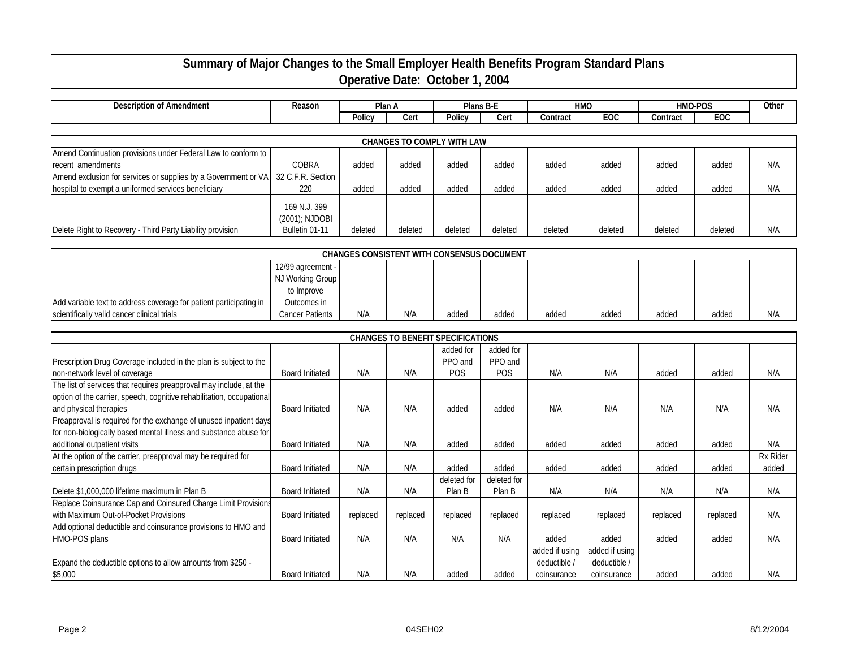## **Summary of Major Changes to the Small Employer Health Benefits Program Standard Plans Operative Date: October 1, 2004**

| Description of Amendment | Reason | Plan A |     | Plans B-L          |      | <b>HMO</b> |                   | HMO-POS  |     | Oth⊾ |
|--------------------------|--------|--------|-----|--------------------|------|------------|-------------------|----------|-----|------|
|                          |        | 'olic\ | Cer | Polic <sup>.</sup> | Cert | Contract   | <b>FOC</b><br>cuu | Contract | EOC |      |
|                          |        |        |     |                    |      |            |                   |          |     |      |

| <b>CHANGES TO COMPLY WITH LAW</b>                                                |                                |         |         |         |         |         |         |         |         |     |
|----------------------------------------------------------------------------------|--------------------------------|---------|---------|---------|---------|---------|---------|---------|---------|-----|
| Amend Continuation provisions under Federal Law to conform to                    |                                |         |         |         |         |         |         |         |         |     |
| recent amendments                                                                | COBRA                          | added   | added   | added   | added   | added   | added   | added   | added   | N/A |
| Amend exclusion for services or supplies by a Government or VA 32 C.F.R. Section |                                |         |         |         |         |         |         |         |         |     |
| hospital to exempt a uniformed services beneficiary                              | 220                            | added   | added   | added   | added   | added   | added   | added   | added   | N/A |
|                                                                                  | 169 N.J. 399<br>(2001); NJDOBI |         |         |         |         |         |         |         |         |     |
| Delete Right to Recovery - Third Party Liability provision                       | Bulletin 01-11                 | deleted | deleted | deleted | deleted | deleted | deleted | deleted | deleted | N/A |

| <b>CHANGES CONSISTENT WITH CONSENSUS DOCUMENT</b>                  |                   |     |     |       |       |       |       |       |       |     |
|--------------------------------------------------------------------|-------------------|-----|-----|-------|-------|-------|-------|-------|-------|-----|
|                                                                    | 12/99 agreement - |     |     |       |       |       |       |       |       |     |
|                                                                    | NJ Working Group  |     |     |       |       |       |       |       |       |     |
|                                                                    | to Improve        |     |     |       |       |       |       |       |       |     |
| Add variable text to address coverage for patient participating in | Outcomes in       |     |     |       |       |       |       |       |       |     |
| scientifically valid cancer clinical trials                        | Cancer Patients   | N/A | N/A | added | added | added | added | added | added | N/A |

|                                                                       |                        |          |          | <b>CHANGES TO BENEFIT SPECIFICATIONS</b> |             |                |                |          |          |                 |
|-----------------------------------------------------------------------|------------------------|----------|----------|------------------------------------------|-------------|----------------|----------------|----------|----------|-----------------|
|                                                                       |                        |          |          | added for                                | added for   |                |                |          |          |                 |
| Prescription Drug Coverage included in the plan is subject to the     |                        |          |          | PPO and                                  | PPO and     |                |                |          |          |                 |
| non-network level of coverage                                         | <b>Board Initiated</b> | N/A      | N/A      | <b>POS</b>                               | <b>POS</b>  | N/A            | N/A            | added    | added    | N/A             |
| The list of services that requires preapproval may include, at the    |                        |          |          |                                          |             |                |                |          |          |                 |
| option of the carrier, speech, cognitive rehabilitation, occupational |                        |          |          |                                          |             |                |                |          |          |                 |
| and physical therapies                                                | <b>Board Initiated</b> | N/A      | N/A      | added                                    | added       | N/A            | N/A            | N/A      | N/A      | N/A             |
| Preapproval is required for the exchange of unused inpatient days     |                        |          |          |                                          |             |                |                |          |          |                 |
| for non-biologically based mental illness and substance abuse for     |                        |          |          |                                          |             |                |                |          |          |                 |
| additional outpatient visits                                          | <b>Board Initiated</b> | N/A      | N/A      | added                                    | added       | added          | added          | added    | added    | N/A             |
| At the option of the carrier, preapproval may be required for         |                        |          |          |                                          |             |                |                |          |          | <b>Rx Rider</b> |
| certain prescription drugs                                            | <b>Board Initiated</b> | N/A      | N/A      | added                                    | added       | added          | added          | added    | added    | added           |
|                                                                       |                        |          |          | deleted for                              | deleted for |                |                |          |          |                 |
| Delete \$1,000,000 lifetime maximum in Plan B                         | <b>Board Initiated</b> | N/A      | N/A      | Plan B                                   | Plan B      | N/A            | N/A            | N/A      | N/A      | N/A             |
| Replace Coinsurance Cap and Coinsured Charge Limit Provisions         |                        |          |          |                                          |             |                |                |          |          |                 |
| with Maximum Out-of-Pocket Provisions                                 | <b>Board Initiated</b> | replaced | replaced | replaced                                 | replaced    | replaced       | replaced       | replaced | replaced | N/A             |
| Add optional deductible and coinsurance provisions to HMO and         |                        |          |          |                                          |             |                |                |          |          |                 |
| HMO-POS plans                                                         | <b>Board Initiated</b> | N/A      | N/A      | N/A                                      | N/A         | added          | added          | added    | added    | N/A             |
|                                                                       |                        |          |          |                                          |             | added if using | added if using |          |          |                 |
| Expand the deductible options to allow amounts from \$250 -           |                        |          |          |                                          |             | deductible /   | deductible /   |          |          |                 |
| \$5,000                                                               | <b>Board Initiated</b> | N/A      | N/A      | added                                    | added       | coinsurance    | coinsurance    | added    | added    | N/A             |